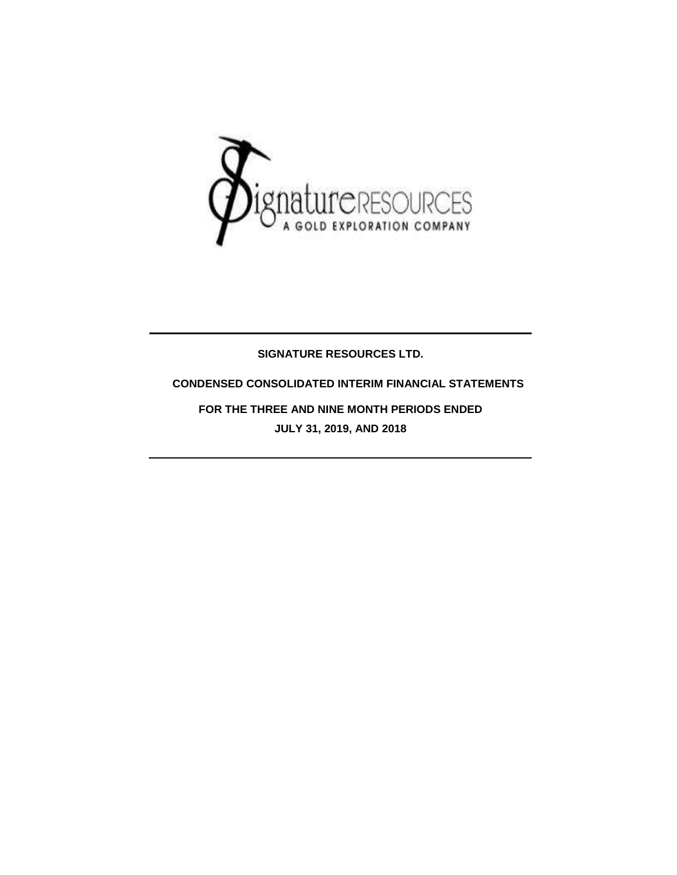

### **SIGNATURE RESOURCES LTD.**

### **CONDENSED CONSOLIDATED INTERIM FINANCIAL STATEMENTS**

**FOR THE THREE AND NINE MONTH PERIODS ENDED JULY 31, 2019, AND 2018**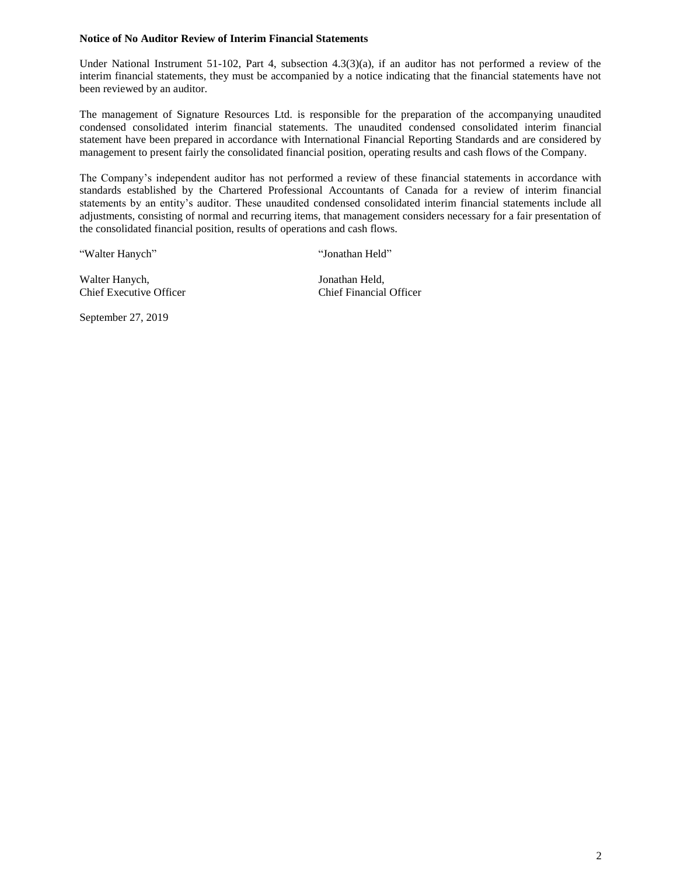#### **Notice of No Auditor Review of Interim Financial Statements**

Under National Instrument 51-102, Part 4, subsection 4.3(3)(a), if an auditor has not performed a review of the interim financial statements, they must be accompanied by a notice indicating that the financial statements have not been reviewed by an auditor.

The management of Signature Resources Ltd. is responsible for the preparation of the accompanying unaudited condensed consolidated interim financial statements. The unaudited condensed consolidated interim financial statement have been prepared in accordance with International Financial Reporting Standards and are considered by management to present fairly the consolidated financial position, operating results and cash flows of the Company.

The Company's independent auditor has not performed a review of these financial statements in accordance with standards established by the Chartered Professional Accountants of Canada for a review of interim financial statements by an entity's auditor. These unaudited condensed consolidated interim financial statements include all adjustments, consisting of normal and recurring items, that management considers necessary for a fair presentation of the consolidated financial position, results of operations and cash flows.

"Walter Hanych" "Jonathan Held"

Walter Hanych, Jonathan Held, Chief Executive Officer Chief Financial Officer

September 27, 2019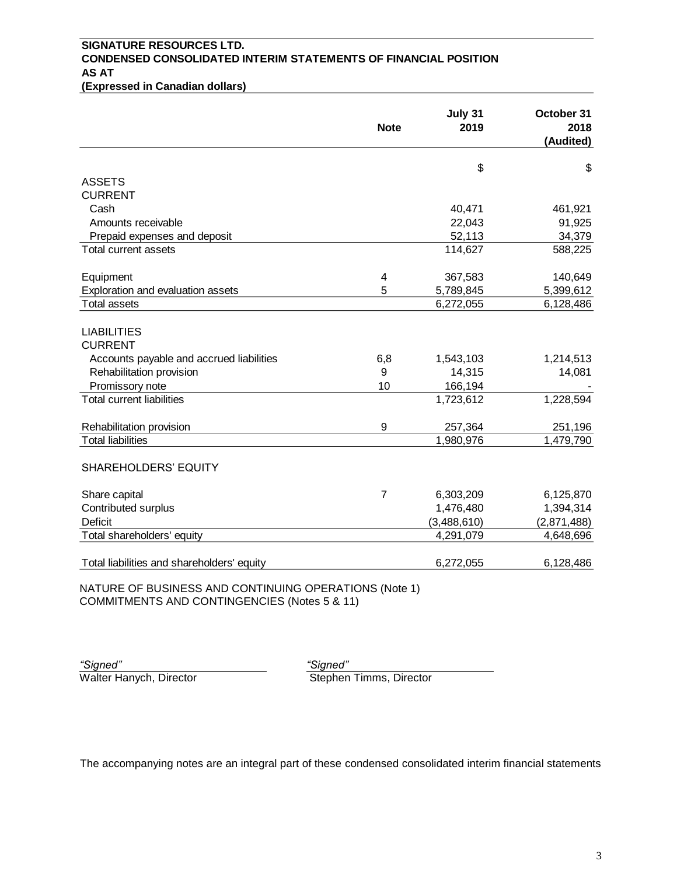# **SIGNATURE RESOURCES LTD. CONDENSED CONSOLIDATED INTERIM STATEMENTS OF FINANCIAL POSITION AS AT**

**(Expressed in Canadian dollars)**

|                                                       | <b>Note</b> | July 31<br>2019 | October 31<br>2018<br>(Audited) |
|-------------------------------------------------------|-------------|-----------------|---------------------------------|
|                                                       |             | \$              | \$                              |
| <b>ASSETS</b>                                         |             |                 |                                 |
| <b>CURRENT</b>                                        |             |                 |                                 |
| Cash                                                  |             | 40,471          | 461,921                         |
| Amounts receivable                                    |             | 22,043          | 91,925                          |
| Prepaid expenses and deposit                          |             | 52,113          | 34,379                          |
| Total current assets                                  |             | 114,627         | 588,225                         |
| Equipment                                             | 4           | 367,583         | 140,649                         |
| Exploration and evaluation assets                     | 5           | 5,789,845       | 5,399,612                       |
| <b>Total assets</b>                                   |             | 6,272,055       | 6,128,486                       |
| <b>LIABILITIES</b><br><b>CURRENT</b>                  |             |                 |                                 |
| Accounts payable and accrued liabilities              | 6,8         | 1,543,103       | 1,214,513                       |
| Rehabilitation provision                              | 9           | 14,315          | 14,081                          |
| Promissory note                                       | 10          | 166,194         |                                 |
| <b>Total current liabilities</b>                      |             | 1,723,612       | 1,228,594                       |
| Rehabilitation provision                              | 9           | 257,364         | 251,196                         |
| <b>Total liabilities</b>                              |             | 1,980,976       | 1,479,790                       |
| <b>SHAREHOLDERS' EQUITY</b>                           |             |                 |                                 |
| Share capital                                         | 7           | 6,303,209       | 6,125,870                       |
| Contributed surplus                                   |             | 1,476,480       | 1,394,314                       |
| <b>Deficit</b>                                        |             | (3,488,610)     | (2,871,488)                     |
| Total shareholders' equity                            |             | 4,291,079       | 4,648,696                       |
| Total liabilities and shareholders' equity            |             | 6,272,055       | 6,128,486                       |
| NATURE OF BUSINESS AND CONTINUING OPERATIONS (Note 1) |             |                 |                                 |

COMMITMENTS AND CONTINGENCIES (Notes 5 & 11)

*"Signed" "Signed"*

Walter Hanych, Director National Communisty Stephen Timms, Director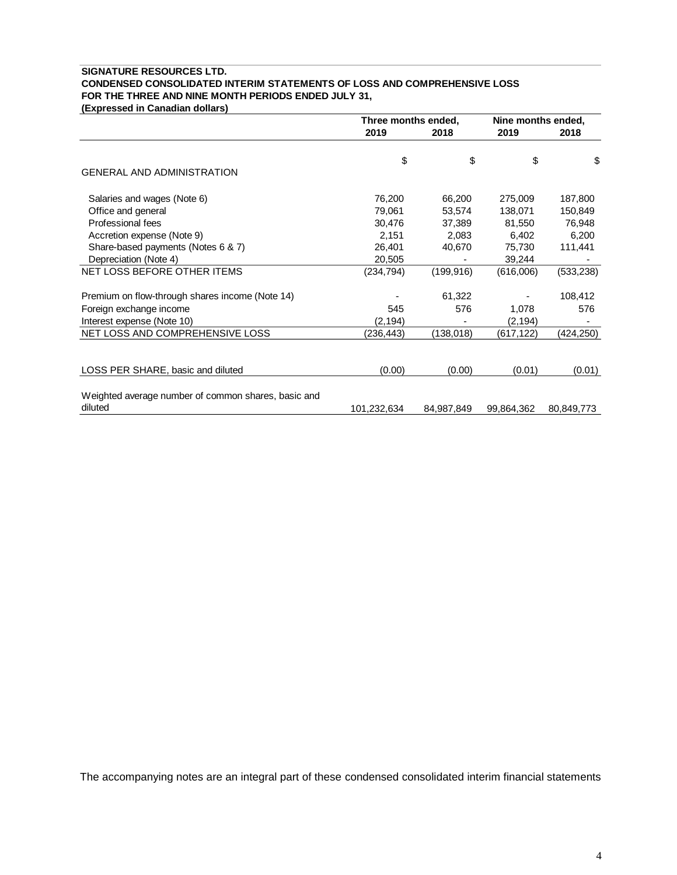### **SIGNATURE RESOURCES LTD. CONDENSED CONSOLIDATED INTERIM STATEMENTS OF LOSS AND COMPREHENSIVE LOSS FOR THE THREE AND NINE MONTH PERIODS ENDED JULY 31,**

**(Expressed in Canadian dollars)**

|                                                                | Three months ended, |            | Nine months ended, |            |
|----------------------------------------------------------------|---------------------|------------|--------------------|------------|
|                                                                | 2019                | 2018       | 2019               | 2018       |
|                                                                |                     |            |                    |            |
|                                                                | \$                  | \$         | \$                 | \$         |
| <b>GENERAL AND ADMINISTRATION</b>                              |                     |            |                    |            |
| Salaries and wages (Note 6)                                    | 76,200              | 66,200     | 275,009            | 187,800    |
| Office and general                                             | 79,061              | 53,574     | 138,071            | 150,849    |
| Professional fees                                              | 30,476              | 37,389     | 81,550             | 76,948     |
| Accretion expense (Note 9)                                     | 2,151               | 2,083      | 6,402              | 6,200      |
| Share-based payments (Notes 6 & 7)                             | 26,401              | 40,670     | 75,730             | 111,441    |
| Depreciation (Note 4)                                          | 20,505              |            | 39,244             |            |
| NET LOSS BEFORE OTHER ITEMS                                    | (234, 794)          | (199, 916) | (616,006)          | (533, 238) |
| Premium on flow-through shares income (Note 14)                |                     | 61,322     |                    | 108,412    |
| Foreign exchange income                                        | 545                 | 576        | 1,078              | 576        |
| Interest expense (Note 10)                                     | (2, 194)            |            | (2, 194)           |            |
| NET LOSS AND COMPREHENSIVE LOSS                                | (236,443)           | (138, 018) | (617, 122)         | (424,250)  |
|                                                                |                     |            |                    |            |
| LOSS PER SHARE, basic and diluted                              | (0.00)              | (0.00)     | (0.01)             | (0.01)     |
| Weighted average number of common shares, basic and<br>diluted |                     |            |                    |            |
|                                                                | 101,232,634         | 84,987,849 | 99,864,362         | 80,849,773 |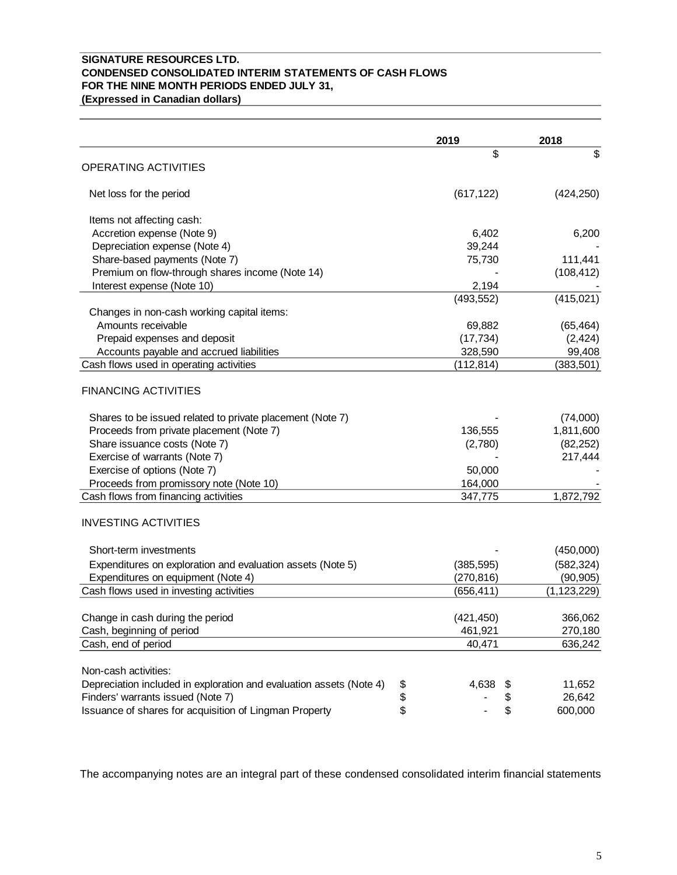### **SIGNATURE RESOURCES LTD. CONDENSED CONSOLIDATED INTERIM STATEMENTS OF CASH FLOWS FOR THE NINE MONTH PERIODS ENDED JULY 31,**

**(Expressed in Canadian dollars)**

|                                                                           | 2019       | 2018          |
|---------------------------------------------------------------------------|------------|---------------|
|                                                                           | \$         | \$            |
| <b>OPERATING ACTIVITIES</b>                                               |            |               |
| Net loss for the period                                                   | (617, 122) | (424, 250)    |
| Items not affecting cash:                                                 |            |               |
| Accretion expense (Note 9)                                                | 6,402      | 6,200         |
| Depreciation expense (Note 4)                                             | 39,244     |               |
| Share-based payments (Note 7)                                             | 75,730     | 111,441       |
| Premium on flow-through shares income (Note 14)                           |            | (108, 412)    |
| Interest expense (Note 10)                                                | 2,194      |               |
|                                                                           | (493, 552) | (415, 021)    |
| Changes in non-cash working capital items:                                |            |               |
| Amounts receivable                                                        | 69,882     | (65, 464)     |
| Prepaid expenses and deposit                                              | (17, 734)  | (2, 424)      |
| Accounts payable and accrued liabilities                                  | 328,590    | 99,408        |
| Cash flows used in operating activities                                   | (112, 814) | (383, 501)    |
| <b>FINANCING ACTIVITIES</b>                                               |            |               |
| Shares to be issued related to private placement (Note 7)                 |            | (74,000)      |
| Proceeds from private placement (Note 7)                                  | 136,555    | 1,811,600     |
| Share issuance costs (Note 7)                                             | (2,780)    | (82, 252)     |
| Exercise of warrants (Note 7)                                             |            | 217,444       |
| Exercise of options (Note 7)                                              | 50,000     |               |
| Proceeds from promissory note (Note 10)                                   | 164,000    |               |
| Cash flows from financing activities                                      | 347,775    | 1,872,792     |
| <b>INVESTING ACTIVITIES</b>                                               |            |               |
| Short-term investments                                                    |            | (450,000)     |
| Expenditures on exploration and evaluation assets (Note 5)                | (385, 595) | (582, 324)    |
| Expenditures on equipment (Note 4)                                        | (270, 816) | (90, 905)     |
| Cash flows used in investing activities                                   | (656, 411) | (1, 123, 229) |
|                                                                           |            |               |
| Change in cash during the period                                          | (421, 450) | 366,062       |
| Cash, beginning of period                                                 | 461,921    | 270,180       |
| Cash, end of period                                                       | 40,471     | 636,242       |
| Non-cash activities:                                                      |            |               |
| Depreciation included in exploration and evaluation assets (Note 4)<br>\$ | 4,638<br>P | 11,652        |
| \$<br>Finders' warrants issued (Note 7)                                   |            | 26,642        |
| \$<br>Issuance of shares for acquisition of Lingman Property              | \$         | 600,000       |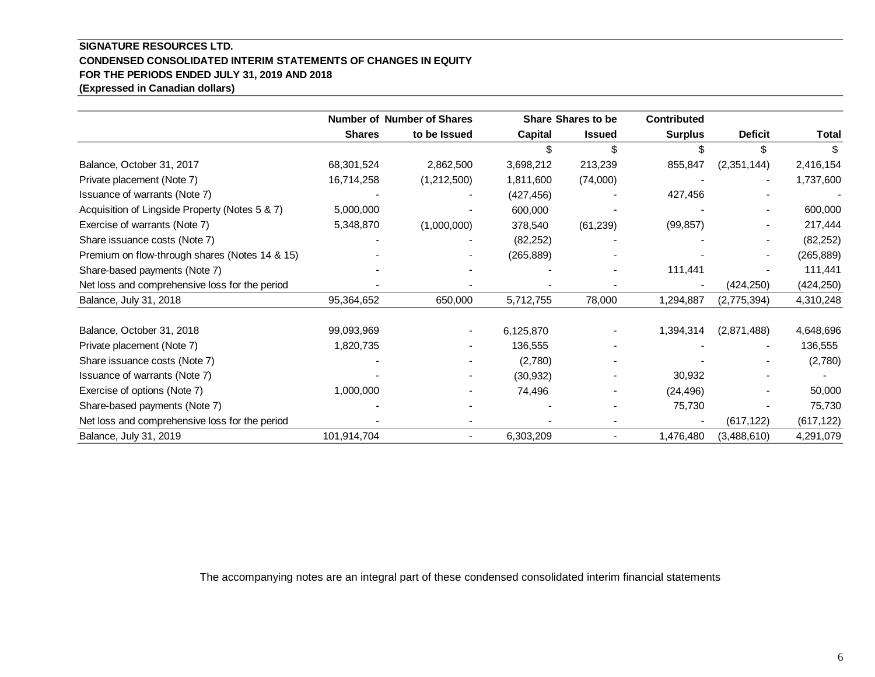### **SIGNATURE RESOURCES LTD. CONDENSED CONSOLIDATED INTERIM STATEMENTS OF CHANGES IN EQUITY FOR THE PERIODS ENDED JULY 31, 2019 AND 2018 (Expressed in Canadian dollars)**

|                                                |               | <b>Number of Number of Shares</b><br><b>Share Shares to be</b> |            |                          | <b>Contributed</b> |                |            |
|------------------------------------------------|---------------|----------------------------------------------------------------|------------|--------------------------|--------------------|----------------|------------|
|                                                | <b>Shares</b> | to be Issued                                                   | Capital    | <b>Issued</b>            | <b>Surplus</b>     | <b>Deficit</b> | Total      |
|                                                |               |                                                                |            | \$                       |                    | \$.            |            |
| Balance, October 31, 2017                      | 68,301,524    | 2,862,500                                                      | 3,698,212  | 213,239                  | 855,847            | (2,351,144)    | 2,416,154  |
| Private placement (Note 7)                     | 16,714,258    | (1,212,500)                                                    | 1,811,600  | (74,000)                 |                    |                | 1,737,600  |
| Issuance of warrants (Note 7)                  |               |                                                                | (427, 456) |                          | 427,456            |                |            |
| Acquisition of Lingside Property (Notes 5 & 7) | 5,000,000     |                                                                | 600,000    |                          |                    |                | 600,000    |
| Exercise of warrants (Note 7)                  | 5,348,870     | (1,000,000)                                                    | 378,540    | (61, 239)                | (99, 857)          |                | 217,444    |
| Share issuance costs (Note 7)                  |               |                                                                | (82, 252)  |                          |                    |                | (82, 252)  |
| Premium on flow-through shares (Notes 14 & 15) |               |                                                                | (265, 889) |                          |                    |                | (265, 889) |
| Share-based payments (Note 7)                  |               |                                                                |            |                          | 111,441            |                | 111,441    |
| Net loss and comprehensive loss for the period |               |                                                                |            |                          |                    | (424, 250)     | (424, 250) |
| Balance, July 31, 2018                         | 95,364,652    | 650,000                                                        | 5,712,755  | 78,000                   | 1,294,887          | (2,775,394)    | 4,310,248  |
| Balance, October 31, 2018                      | 99,093,969    |                                                                | 6,125,870  |                          | 1,394,314          | (2,871,488)    | 4,648,696  |
| Private placement (Note 7)                     | 1,820,735     |                                                                | 136,555    |                          |                    |                | 136,555    |
| Share issuance costs (Note 7)                  |               |                                                                | (2,780)    |                          |                    |                | (2,780)    |
| Issuance of warrants (Note 7)                  |               |                                                                | (30, 932)  |                          | 30,932             |                |            |
| Exercise of options (Note 7)                   | 1,000,000     |                                                                | 74,496     |                          | (24, 496)          |                | 50,000     |
| Share-based payments (Note 7)                  |               |                                                                |            |                          | 75,730             |                | 75,730     |
| Net loss and comprehensive loss for the period |               |                                                                |            |                          |                    | (617, 122)     | (617, 122) |
| Balance, July 31, 2019                         | 101,914,704   | $\overline{\phantom{a}}$                                       | 6,303,209  | $\overline{\phantom{a}}$ | 1,476,480          | (3,488,610)    | 4,291,079  |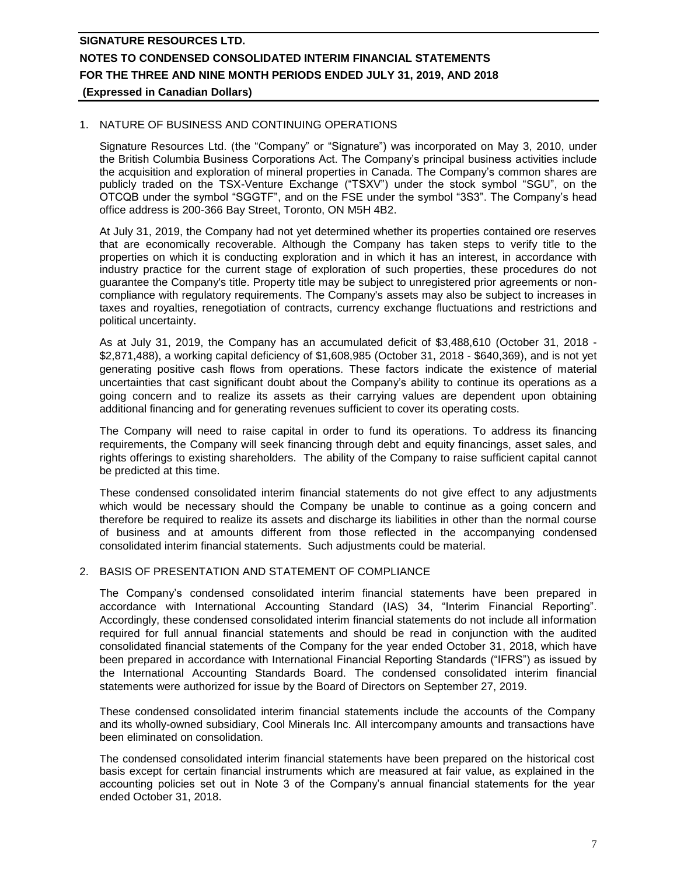### 1. NATURE OF BUSINESS AND CONTINUING OPERATIONS

Signature Resources Ltd. (the "Company" or "Signature") was incorporated on May 3, 2010, under the British Columbia Business Corporations Act. The Company's principal business activities include the acquisition and exploration of mineral properties in Canada. The Company's common shares are publicly traded on the TSX-Venture Exchange ("TSXV") under the stock symbol "SGU", on the OTCQB under the symbol "SGGTF", and on the FSE under the symbol "3S3". The Company's head office address is 200-366 Bay Street, Toronto, ON M5H 4B2.

At July 31, 2019, the Company had not yet determined whether its properties contained ore reserves that are economically recoverable. Although the Company has taken steps to verify title to the properties on which it is conducting exploration and in which it has an interest, in accordance with industry practice for the current stage of exploration of such properties, these procedures do not guarantee the Company's title. Property title may be subject to unregistered prior agreements or noncompliance with regulatory requirements. The Company's assets may also be subject to increases in taxes and royalties, renegotiation of contracts, currency exchange fluctuations and restrictions and political uncertainty.

As at July 31, 2019, the Company has an accumulated deficit of \$3,488,610 (October 31, 2018 - \$2,871,488), a working capital deficiency of \$1,608,985 (October 31, 2018 - \$640,369), and is not yet generating positive cash flows from operations. These factors indicate the existence of material uncertainties that cast significant doubt about the Company's ability to continue its operations as a going concern and to realize its assets as their carrying values are dependent upon obtaining additional financing and for generating revenues sufficient to cover its operating costs.

The Company will need to raise capital in order to fund its operations. To address its financing requirements, the Company will seek financing through debt and equity financings, asset sales, and rights offerings to existing shareholders. The ability of the Company to raise sufficient capital cannot be predicted at this time.

These condensed consolidated interim financial statements do not give effect to any adjustments which would be necessary should the Company be unable to continue as a going concern and therefore be required to realize its assets and discharge its liabilities in other than the normal course of business and at amounts different from those reflected in the accompanying condensed consolidated interim financial statements. Such adjustments could be material.

### 2. BASIS OF PRESENTATION AND STATEMENT OF COMPLIANCE

The Company's condensed consolidated interim financial statements have been prepared in accordance with International Accounting Standard (IAS) 34, "Interim Financial Reporting". Accordingly, these condensed consolidated interim financial statements do not include all information required for full annual financial statements and should be read in conjunction with the audited consolidated financial statements of the Company for the year ended October 31, 2018, which have been prepared in accordance with International Financial Reporting Standards ("IFRS") as issued by the International Accounting Standards Board. The condensed consolidated interim financial statements were authorized for issue by the Board of Directors on September 27, 2019.

These condensed consolidated interim financial statements include the accounts of the Company and its wholly-owned subsidiary, Cool Minerals Inc. All intercompany amounts and transactions have been eliminated on consolidation.

The condensed consolidated interim financial statements have been prepared on the historical cost basis except for certain financial instruments which are measured at fair value, as explained in the accounting policies set out in Note 3 of the Company's annual financial statements for the year ended October 31, 2018.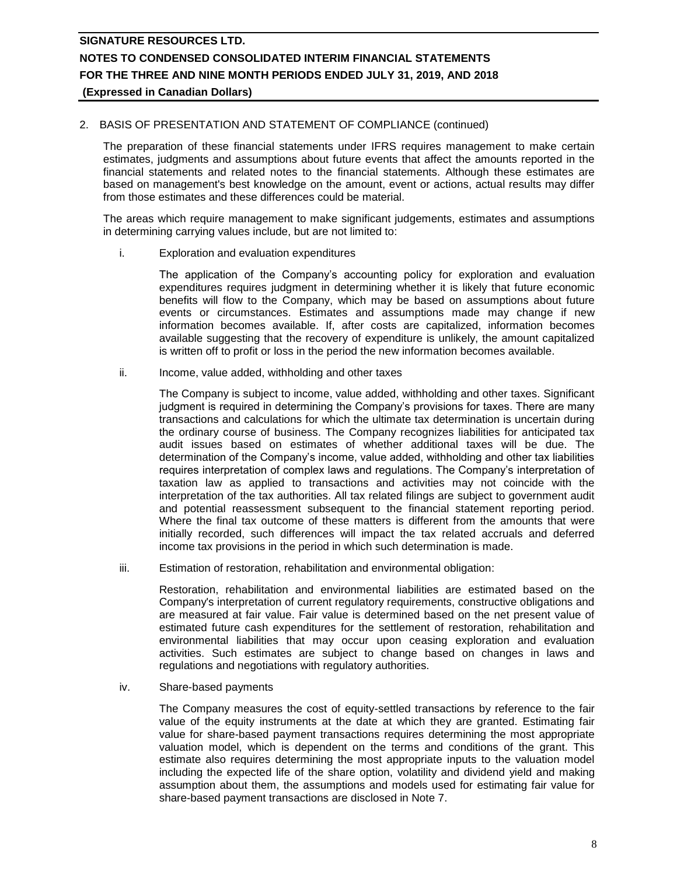### 2. BASIS OF PRESENTATION AND STATEMENT OF COMPLIANCE (continued)

The preparation of these financial statements under IFRS requires management to make certain estimates, judgments and assumptions about future events that affect the amounts reported in the financial statements and related notes to the financial statements. Although these estimates are based on management's best knowledge on the amount, event or actions, actual results may differ from those estimates and these differences could be material.

The areas which require management to make significant judgements, estimates and assumptions in determining carrying values include, but are not limited to:

i. Exploration and evaluation expenditures

The application of the Company's accounting policy for exploration and evaluation expenditures requires judgment in determining whether it is likely that future economic benefits will flow to the Company, which may be based on assumptions about future events or circumstances. Estimates and assumptions made may change if new information becomes available. If, after costs are capitalized, information becomes available suggesting that the recovery of expenditure is unlikely, the amount capitalized is written off to profit or loss in the period the new information becomes available.

ii. Income, value added, withholding and other taxes

The Company is subject to income, value added, withholding and other taxes. Significant judgment is required in determining the Company's provisions for taxes. There are many transactions and calculations for which the ultimate tax determination is uncertain during the ordinary course of business. The Company recognizes liabilities for anticipated tax audit issues based on estimates of whether additional taxes will be due. The determination of the Company's income, value added, withholding and other tax liabilities requires interpretation of complex laws and regulations. The Company's interpretation of taxation law as applied to transactions and activities may not coincide with the interpretation of the tax authorities. All tax related filings are subject to government audit and potential reassessment subsequent to the financial statement reporting period. Where the final tax outcome of these matters is different from the amounts that were initially recorded, such differences will impact the tax related accruals and deferred income tax provisions in the period in which such determination is made.

iii. Estimation of restoration, rehabilitation and environmental obligation:

Restoration, rehabilitation and environmental liabilities are estimated based on the Company's interpretation of current regulatory requirements, constructive obligations and are measured at fair value. Fair value is determined based on the net present value of estimated future cash expenditures for the settlement of restoration, rehabilitation and environmental liabilities that may occur upon ceasing exploration and evaluation activities. Such estimates are subject to change based on changes in laws and regulations and negotiations with regulatory authorities.

iv. Share-based payments

The Company measures the cost of equity-settled transactions by reference to the fair value of the equity instruments at the date at which they are granted. Estimating fair value for share-based payment transactions requires determining the most appropriate valuation model, which is dependent on the terms and conditions of the grant. This estimate also requires determining the most appropriate inputs to the valuation model including the expected life of the share option, volatility and dividend yield and making assumption about them, the assumptions and models used for estimating fair value for share-based payment transactions are disclosed in Note 7.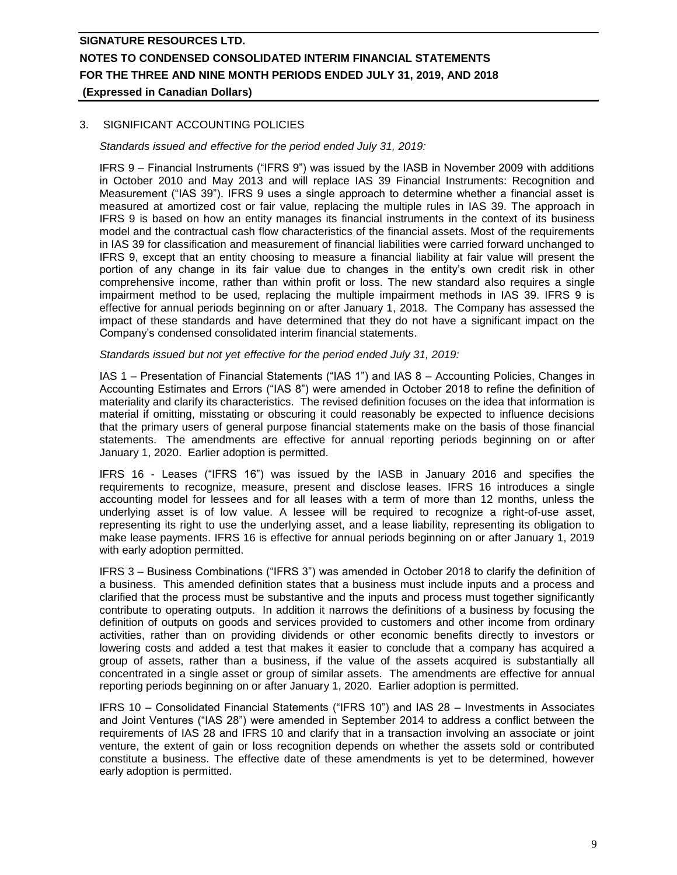### 3. SIGNIFICANT ACCOUNTING POLICIES

*Standards issued and effective for the period ended July 31, 2019:*

IFRS 9 – Financial Instruments ("IFRS 9") was issued by the IASB in November 2009 with additions in October 2010 and May 2013 and will replace IAS 39 Financial Instruments: Recognition and Measurement ("IAS 39"). IFRS 9 uses a single approach to determine whether a financial asset is measured at amortized cost or fair value, replacing the multiple rules in IAS 39. The approach in IFRS 9 is based on how an entity manages its financial instruments in the context of its business model and the contractual cash flow characteristics of the financial assets. Most of the requirements in IAS 39 for classification and measurement of financial liabilities were carried forward unchanged to IFRS 9, except that an entity choosing to measure a financial liability at fair value will present the portion of any change in its fair value due to changes in the entity's own credit risk in other comprehensive income, rather than within profit or loss. The new standard also requires a single impairment method to be used, replacing the multiple impairment methods in IAS 39. IFRS 9 is effective for annual periods beginning on or after January 1, 2018. The Company has assessed the impact of these standards and have determined that they do not have a significant impact on the Company's condensed consolidated interim financial statements.

#### *Standards issued but not yet effective for the period ended July 31, 2019:*

IAS 1 – Presentation of Financial Statements ("IAS 1") and IAS 8 – Accounting Policies, Changes in Accounting Estimates and Errors ("IAS 8") were amended in October 2018 to refine the definition of materiality and clarify its characteristics. The revised definition focuses on the idea that information is material if omitting, misstating or obscuring it could reasonably be expected to influence decisions that the primary users of general purpose financial statements make on the basis of those financial statements. The amendments are effective for annual reporting periods beginning on or after January 1, 2020. Earlier adoption is permitted.

IFRS 16 - Leases ("IFRS 16") was issued by the IASB in January 2016 and specifies the requirements to recognize, measure, present and disclose leases. IFRS 16 introduces a single accounting model for lessees and for all leases with a term of more than 12 months, unless the underlying asset is of low value. A lessee will be required to recognize a right-of-use asset, representing its right to use the underlying asset, and a lease liability, representing its obligation to make lease payments. IFRS 16 is effective for annual periods beginning on or after January 1, 2019 with early adoption permitted.

IFRS 3 – Business Combinations ("IFRS 3") was amended in October 2018 to clarify the definition of a business. This amended definition states that a business must include inputs and a process and clarified that the process must be substantive and the inputs and process must together significantly contribute to operating outputs. In addition it narrows the definitions of a business by focusing the definition of outputs on goods and services provided to customers and other income from ordinary activities, rather than on providing dividends or other economic benefits directly to investors or lowering costs and added a test that makes it easier to conclude that a company has acquired a group of assets, rather than a business, if the value of the assets acquired is substantially all concentrated in a single asset or group of similar assets. The amendments are effective for annual reporting periods beginning on or after January 1, 2020. Earlier adoption is permitted.

IFRS 10 – Consolidated Financial Statements ("IFRS 10") and IAS 28 – Investments in Associates and Joint Ventures ("IAS 28") were amended in September 2014 to address a conflict between the requirements of IAS 28 and IFRS 10 and clarify that in a transaction involving an associate or joint venture, the extent of gain or loss recognition depends on whether the assets sold or contributed constitute a business. The effective date of these amendments is yet to be determined, however early adoption is permitted.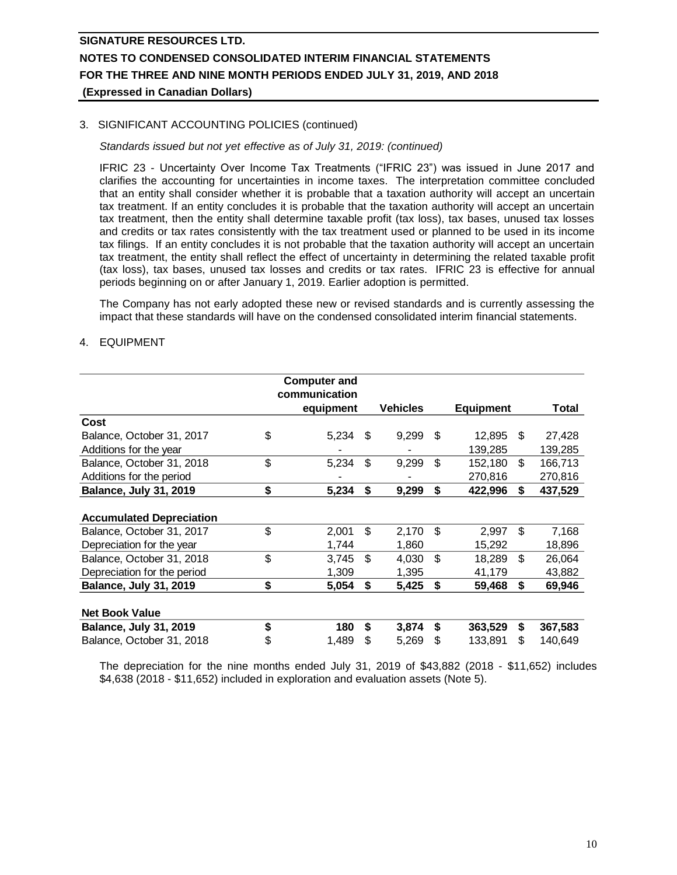### 3. SIGNIFICANT ACCOUNTING POLICIES (continued)

### *Standards issued but not yet effective as of July 31, 2019: (continued)*

IFRIC 23 - Uncertainty Over Income Tax Treatments ("IFRIC 23") was issued in June 2017 and clarifies the accounting for uncertainties in income taxes. The interpretation committee concluded that an entity shall consider whether it is probable that a taxation authority will accept an uncertain tax treatment. If an entity concludes it is probable that the taxation authority will accept an uncertain tax treatment, then the entity shall determine taxable profit (tax loss), tax bases, unused tax losses and credits or tax rates consistently with the tax treatment used or planned to be used in its income tax filings. If an entity concludes it is not probable that the taxation authority will accept an uncertain tax treatment, the entity shall reflect the effect of uncertainty in determining the related taxable profit (tax loss), tax bases, unused tax losses and credits or tax rates. IFRIC 23 is effective for annual periods beginning on or after January 1, 2019. Earlier adoption is permitted.

The Company has not early adopted these new or revised standards and is currently assessing the impact that these standards will have on the condensed consolidated interim financial statements.

### 4. EQUIPMENT

|                                 | <b>Computer and</b><br>communication |     |          |    |                  |     |         |
|---------------------------------|--------------------------------------|-----|----------|----|------------------|-----|---------|
|                                 | equipment                            |     | Vehicles |    | <b>Equipment</b> |     | Total   |
| Cost                            |                                      |     |          |    |                  |     |         |
| Balance, October 31, 2017       | \$<br>5,234                          | \$. | 9,299    | \$ | 12.895           | \$. | 27,428  |
| Additions for the year          |                                      |     |          |    | 139,285          |     | 139,285 |
| Balance, October 31, 2018       | \$<br>5,234                          | \$  | 9,299    | \$ | 152,180          | \$  | 166,713 |
| Additions for the period        |                                      |     |          |    | 270,816          |     | 270,816 |
| <b>Balance, July 31, 2019</b>   | \$<br>5,234                          | \$  | 9,299    | \$ | 422,996          | \$  | 437,529 |
| <b>Accumulated Depreciation</b> |                                      |     |          |    |                  |     |         |
| Balance, October 31, 2017       | \$<br>2,001                          | \$  | 2,170    | \$ | 2,997            | \$  | 7,168   |
| Depreciation for the year       | 1,744                                |     | 1,860    |    | 15,292           |     | 18,896  |
| Balance, October 31, 2018       | \$<br>3,745                          | \$  | 4,030    | \$ | 18,289           | \$  | 26,064  |
| Depreciation for the period     | 1,309                                |     | 1,395    |    | 41,179           |     | 43,882  |
| <b>Balance, July 31, 2019</b>   | \$<br>5,054                          | \$  | 5,425    | \$ | 59,468           | \$  | 69,946  |
| <b>Net Book Value</b>           |                                      |     |          |    |                  |     |         |
| <b>Balance, July 31, 2019</b>   | \$<br>180                            | \$  | 3,874    | \$ | 363,529          | \$  | 367,583 |
| Balance, October 31, 2018       | \$<br>1,489                          | S   | 5,269    | S  | 133,891          | \$  | 140,649 |

The depreciation for the nine months ended July 31, 2019 of \$43,882 (2018 - \$11,652) includes \$4,638 (2018 - \$11,652) included in exploration and evaluation assets (Note 5).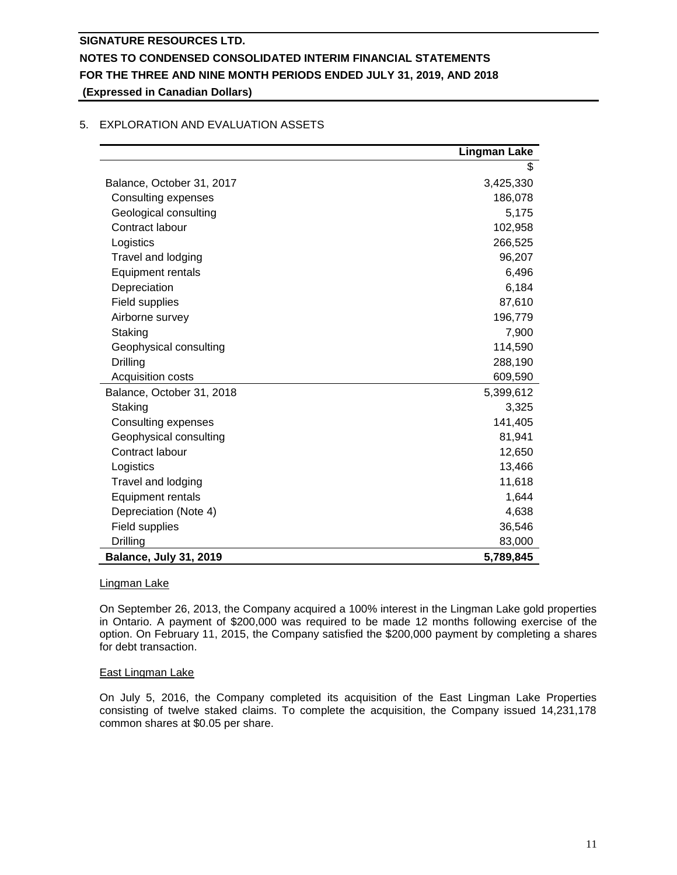# **Lingman Lake** Balance, October 31, 2017 3,425,330 Consulting expenses 186,078 Geological consulting 6,175 Contract labour 102,958 Logistics 266,525 Travel and lodging 196,207 Equipment rentals 6,496 Depreciation 6,184 Field supplies 87,610 Airborne survey 196,779 Staking 7,900 Geophysical consulting 114,590 Drilling 288,190 Acquisition costs 609,590 Balance, October 31, 2018 5,399,612 Staking 3,325 Consulting expenses 141,405 Geophysical consulting 81,941 Contract labour 12,650 Logistics 13,466 Travel and lodging 11,618 Equipment rentals 1,644 Depreciation (Note 4) 4,638 Field supplies 36,546 Drilling 83,000 **Balance, July 31, 2019 5,789,845**

### 5. EXPLORATION AND EVALUATION ASSETS

### Lingman Lake

On September 26, 2013, the Company acquired a 100% interest in the Lingman Lake gold properties in Ontario. A payment of \$200,000 was required to be made 12 months following exercise of the option. On February 11, 2015, the Company satisfied the \$200,000 payment by completing a shares for debt transaction.

### East Lingman Lake

On July 5, 2016, the Company completed its acquisition of the East Lingman Lake Properties consisting of twelve staked claims. To complete the acquisition, the Company issued 14,231,178 common shares at \$0.05 per share.

\$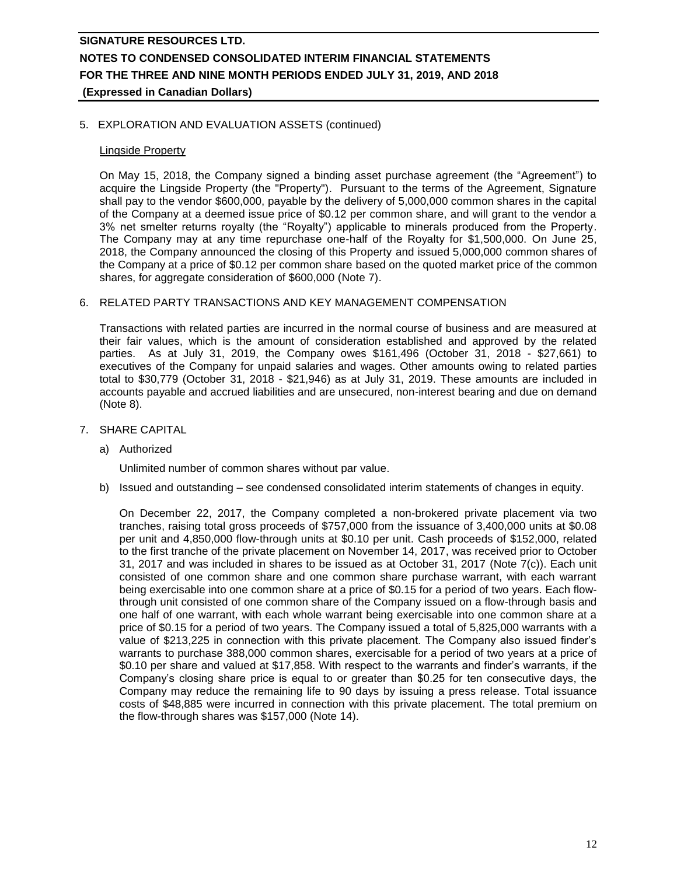### 5. EXPLORATION AND EVALUATION ASSETS (continued)

### Lingside Property

On May 15, 2018, the Company signed a binding asset purchase agreement (the "Agreement") to acquire the Lingside Property (the "Property"). Pursuant to the terms of the Agreement, Signature shall pay to the vendor \$600,000, payable by the delivery of 5,000,000 common shares in the capital of the Company at a deemed issue price of \$0.12 per common share, and will grant to the vendor a 3% net smelter returns royalty (the "Royalty") applicable to minerals produced from the Property. The Company may at any time repurchase one-half of the Royalty for \$1,500,000. On June 25, 2018, the Company announced the closing of this Property and issued 5,000,000 common shares of the Company at a price of \$0.12 per common share based on the quoted market price of the common shares, for aggregate consideration of \$600,000 (Note 7).

### 6. RELATED PARTY TRANSACTIONS AND KEY MANAGEMENT COMPENSATION

Transactions with related parties are incurred in the normal course of business and are measured at their fair values, which is the amount of consideration established and approved by the related parties. As at July 31, 2019, the Company owes \$161,496 (October 31, 2018 - \$27,661) to executives of the Company for unpaid salaries and wages. Other amounts owing to related parties total to \$30,779 (October 31, 2018 - \$21,946) as at July 31, 2019. These amounts are included in accounts payable and accrued liabilities and are unsecured, non-interest bearing and due on demand (Note 8).

- 7. SHARE CAPITAL
	- a) Authorized

Unlimited number of common shares without par value.

b) Issued and outstanding – see condensed consolidated interim statements of changes in equity.

On December 22, 2017, the Company completed a non-brokered private placement via two tranches, raising total gross proceeds of \$757,000 from the issuance of 3,400,000 units at \$0.08 per unit and 4,850,000 flow-through units at \$0.10 per unit. Cash proceeds of \$152,000, related to the first tranche of the private placement on November 14, 2017, was received prior to October 31, 2017 and was included in shares to be issued as at October 31, 2017 (Note 7(c)). Each unit consisted of one common share and one common share purchase warrant, with each warrant being exercisable into one common share at a price of \$0.15 for a period of two years. Each flowthrough unit consisted of one common share of the Company issued on a flow-through basis and one half of one warrant, with each whole warrant being exercisable into one common share at a price of \$0.15 for a period of two years. The Company issued a total of 5,825,000 warrants with a value of \$213,225 in connection with this private placement. The Company also issued finder's warrants to purchase 388,000 common shares, exercisable for a period of two years at a price of \$0.10 per share and valued at \$17,858. With respect to the warrants and finder's warrants, if the Company's closing share price is equal to or greater than \$0.25 for ten consecutive days, the Company may reduce the remaining life to 90 days by issuing a press release. Total issuance costs of \$48,885 were incurred in connection with this private placement. The total premium on the flow-through shares was \$157,000 (Note 14).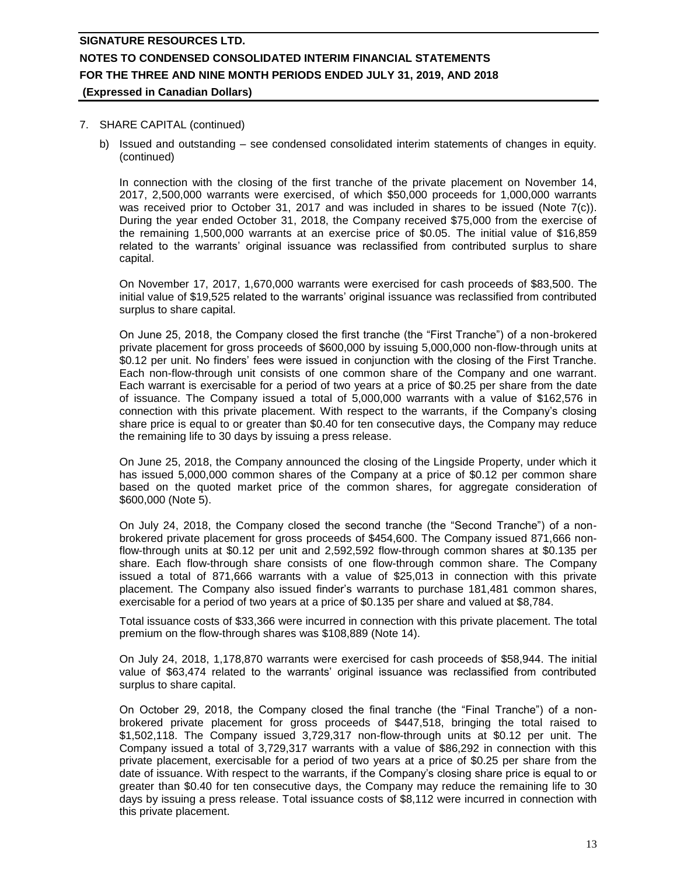#### 7. SHARE CAPITAL (continued)

b) Issued and outstanding – see condensed consolidated interim statements of changes in equity. (continued)

In connection with the closing of the first tranche of the private placement on November 14, 2017, 2,500,000 warrants were exercised, of which \$50,000 proceeds for 1,000,000 warrants was received prior to October 31, 2017 and was included in shares to be issued (Note 7(c)). During the year ended October 31, 2018, the Company received \$75,000 from the exercise of the remaining 1,500,000 warrants at an exercise price of \$0.05. The initial value of \$16,859 related to the warrants' original issuance was reclassified from contributed surplus to share capital.

On November 17, 2017, 1,670,000 warrants were exercised for cash proceeds of \$83,500. The initial value of \$19,525 related to the warrants' original issuance was reclassified from contributed surplus to share capital.

On June 25, 2018, the Company closed the first tranche (the "First Tranche") of a non-brokered private placement for gross proceeds of \$600,000 by issuing 5,000,000 non-flow-through units at \$0.12 per unit. No finders' fees were issued in conjunction with the closing of the First Tranche. Each non-flow-through unit consists of one common share of the Company and one warrant. Each warrant is exercisable for a period of two years at a price of \$0.25 per share from the date of issuance. The Company issued a total of 5,000,000 warrants with a value of \$162,576 in connection with this private placement. With respect to the warrants, if the Company's closing share price is equal to or greater than \$0.40 for ten consecutive days, the Company may reduce the remaining life to 30 days by issuing a press release.

On June 25, 2018, the Company announced the closing of the Lingside Property, under which it has issued 5,000,000 common shares of the Company at a price of \$0.12 per common share based on the quoted market price of the common shares, for aggregate consideration of \$600,000 (Note 5).

On July 24, 2018, the Company closed the second tranche (the "Second Tranche") of a nonbrokered private placement for gross proceeds of \$454,600. The Company issued 871,666 nonflow-through units at \$0.12 per unit and 2,592,592 flow-through common shares at \$0.135 per share. Each flow-through share consists of one flow-through common share. The Company issued a total of 871,666 warrants with a value of \$25,013 in connection with this private placement. The Company also issued finder's warrants to purchase 181,481 common shares, exercisable for a period of two years at a price of \$0.135 per share and valued at \$8,784.

Total issuance costs of \$33,366 were incurred in connection with this private placement. The total premium on the flow-through shares was \$108,889 (Note 14).

On July 24, 2018, 1,178,870 warrants were exercised for cash proceeds of \$58,944. The initial value of \$63,474 related to the warrants' original issuance was reclassified from contributed surplus to share capital.

On October 29, 2018, the Company closed the final tranche (the "Final Tranche") of a nonbrokered private placement for gross proceeds of \$447,518, bringing the total raised to \$1,502,118. The Company issued 3,729,317 non-flow-through units at \$0.12 per unit. The Company issued a total of 3,729,317 warrants with a value of \$86,292 in connection with this private placement, exercisable for a period of two years at a price of \$0.25 per share from the date of issuance. With respect to the warrants, if the Company's closing share price is equal to or greater than \$0.40 for ten consecutive days, the Company may reduce the remaining life to 30 days by issuing a press release. Total issuance costs of \$8,112 were incurred in connection with this private placement.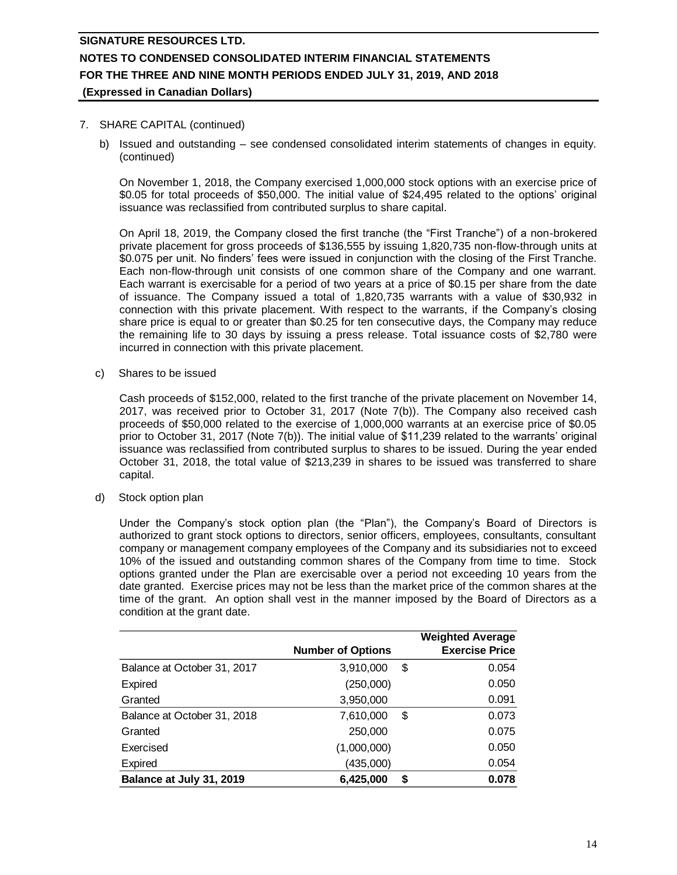#### 7. SHARE CAPITAL (continued)

b) Issued and outstanding – see condensed consolidated interim statements of changes in equity. (continued)

On November 1, 2018, the Company exercised 1,000,000 stock options with an exercise price of \$0.05 for total proceeds of \$50,000. The initial value of \$24,495 related to the options' original issuance was reclassified from contributed surplus to share capital.

On April 18, 2019, the Company closed the first tranche (the "First Tranche") of a non-brokered private placement for gross proceeds of \$136,555 by issuing 1,820,735 non-flow-through units at \$0.075 per unit. No finders' fees were issued in conjunction with the closing of the First Tranche. Each non-flow-through unit consists of one common share of the Company and one warrant. Each warrant is exercisable for a period of two years at a price of \$0.15 per share from the date of issuance. The Company issued a total of 1,820,735 warrants with a value of \$30,932 in connection with this private placement. With respect to the warrants, if the Company's closing share price is equal to or greater than \$0.25 for ten consecutive days, the Company may reduce the remaining life to 30 days by issuing a press release. Total issuance costs of \$2,780 were incurred in connection with this private placement.

c) Shares to be issued

Cash proceeds of \$152,000, related to the first tranche of the private placement on November 14, 2017, was received prior to October 31, 2017 (Note 7(b)). The Company also received cash proceeds of \$50,000 related to the exercise of 1,000,000 warrants at an exercise price of \$0.05 prior to October 31, 2017 (Note 7(b)). The initial value of \$11,239 related to the warrants' original issuance was reclassified from contributed surplus to shares to be issued. During the year ended October 31, 2018, the total value of \$213,239 in shares to be issued was transferred to share capital.

d) Stock option plan

Under the Company's stock option plan (the "Plan"), the Company's Board of Directors is authorized to grant stock options to directors, senior officers, employees, consultants, consultant company or management company employees of the Company and its subsidiaries not to exceed 10% of the issued and outstanding common shares of the Company from time to time. Stock options granted under the Plan are exercisable over a period not exceeding 10 years from the date granted. Exercise prices may not be less than the market price of the common shares at the time of the grant. An option shall vest in the manner imposed by the Board of Directors as a condition at the grant date.

|                             |                          | <b>Weighted Average</b> |
|-----------------------------|--------------------------|-------------------------|
|                             | <b>Number of Options</b> | <b>Exercise Price</b>   |
| Balance at October 31, 2017 | 3,910,000                | 0.054<br>S              |
| Expired                     | (250,000)                | 0.050                   |
| Granted                     | 3,950,000                | 0.091                   |
| Balance at October 31, 2018 | 7,610,000                | 0.073<br>S              |
| Granted                     | 250,000                  | 0.075                   |
| Exercised                   | (1,000,000)              | 0.050                   |
| <b>Expired</b>              | (435,000)                | 0.054                   |
| Balance at July 31, 2019    | 6,425,000                | 0.078<br>S              |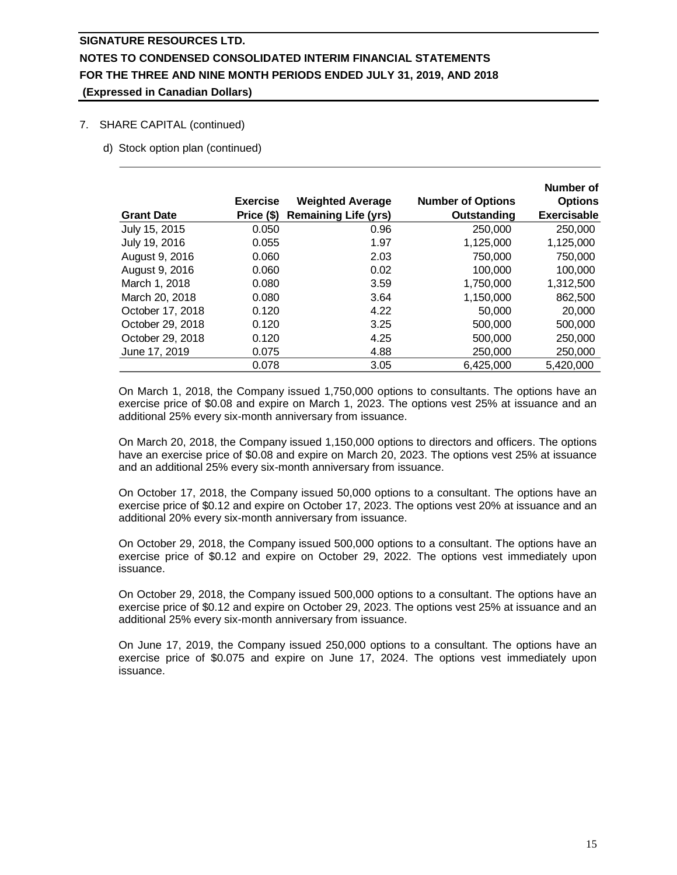### 7. SHARE CAPITAL (continued)

d) Stock option plan (continued)

|                   |                 |                             |                          | Number of          |
|-------------------|-----------------|-----------------------------|--------------------------|--------------------|
|                   | <b>Exercise</b> | <b>Weighted Average</b>     | <b>Number of Options</b> | <b>Options</b>     |
| <b>Grant Date</b> | Price (\$)      | <b>Remaining Life (yrs)</b> | Outstanding              | <b>Exercisable</b> |
| July 15, 2015     | 0.050           | 0.96                        | 250,000                  | 250,000            |
| July 19, 2016     | 0.055           | 1.97                        | 1,125,000                | 1,125,000          |
| August 9, 2016    | 0.060           | 2.03                        | 750,000                  | 750,000            |
| August 9, 2016    | 0.060           | 0.02                        | 100,000                  | 100,000            |
| March 1, 2018     | 0.080           | 3.59                        | 1.750.000                | 1,312,500          |
| March 20, 2018    | 0.080           | 3.64                        | 1,150,000                | 862,500            |
| October 17, 2018  | 0.120           | 4.22                        | 50,000                   | 20,000             |
| October 29, 2018  | 0.120           | 3.25                        | 500,000                  | 500,000            |
| October 29, 2018  | 0.120           | 4.25                        | 500,000                  | 250,000            |
| June 17, 2019     | 0.075           | 4.88                        | 250,000                  | 250,000            |
|                   | 0.078           | 3.05                        | 6,425,000                | 5,420,000          |

On March 1, 2018, the Company issued 1,750,000 options to consultants. The options have an exercise price of \$0.08 and expire on March 1, 2023. The options vest 25% at issuance and an additional 25% every six-month anniversary from issuance.

On March 20, 2018, the Company issued 1,150,000 options to directors and officers. The options have an exercise price of \$0.08 and expire on March 20, 2023. The options vest 25% at issuance and an additional 25% every six-month anniversary from issuance.

On October 17, 2018, the Company issued 50,000 options to a consultant. The options have an exercise price of \$0.12 and expire on October 17, 2023. The options vest 20% at issuance and an additional 20% every six-month anniversary from issuance.

On October 29, 2018, the Company issued 500,000 options to a consultant. The options have an exercise price of \$0.12 and expire on October 29, 2022. The options vest immediately upon issuance.

On October 29, 2018, the Company issued 500,000 options to a consultant. The options have an exercise price of \$0.12 and expire on October 29, 2023. The options vest 25% at issuance and an additional 25% every six-month anniversary from issuance.

On June 17, 2019, the Company issued 250,000 options to a consultant. The options have an exercise price of \$0.075 and expire on June 17, 2024. The options vest immediately upon issuance.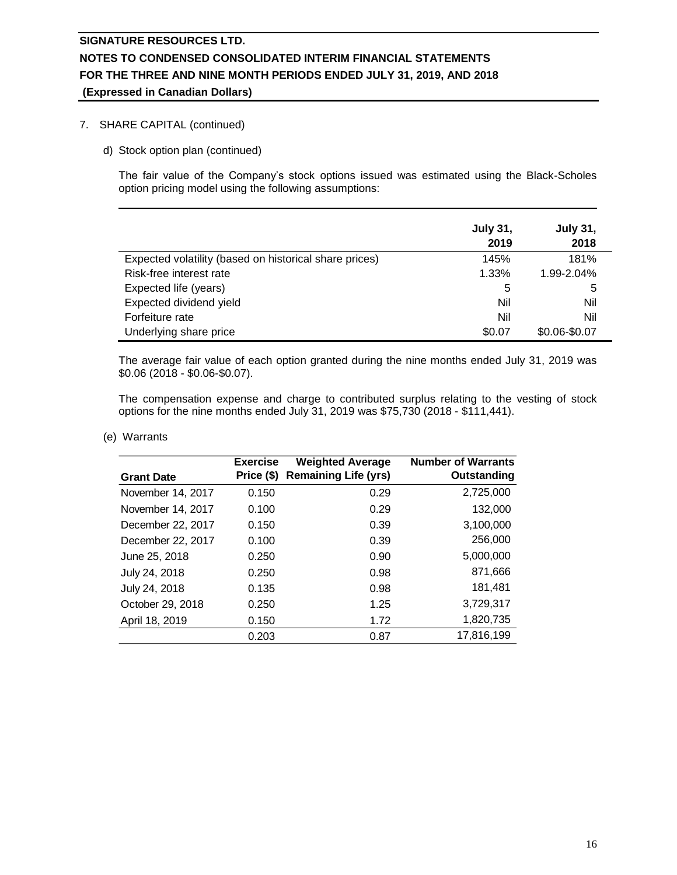### 7. SHARE CAPITAL (continued)

d) Stock option plan (continued)

The fair value of the Company's stock options issued was estimated using the Black-Scholes option pricing model using the following assumptions:

|                                                        | <b>July 31,</b><br>2019 | <b>July 31,</b><br>2018 |
|--------------------------------------------------------|-------------------------|-------------------------|
| Expected volatility (based on historical share prices) | 145%                    | 181%                    |
| Risk-free interest rate                                | 1.33%                   | 1.99-2.04%              |
| Expected life (years)                                  | 5                       | 5                       |
| Expected dividend yield                                | Nil                     | Nil                     |
| Forfeiture rate                                        | Nil                     | Nil                     |
| Underlying share price                                 | \$0.07                  | \$0.06-\$0.07           |

The average fair value of each option granted during the nine months ended July 31, 2019 was \$0.06 (2018 - \$0.06-\$0.07).

The compensation expense and charge to contributed surplus relating to the vesting of stock options for the nine months ended July 31, 2019 was \$75,730 (2018 - \$111,441).

#### (e) Warrants

| <b>Grant Date</b> | <b>Exercise</b><br>Price (\$) | <b>Weighted Average</b><br><b>Remaining Life (yrs)</b> | <b>Number of Warrants</b><br>Outstanding |
|-------------------|-------------------------------|--------------------------------------------------------|------------------------------------------|
| November 14, 2017 | 0.150                         | 0.29                                                   | 2,725,000                                |
| November 14, 2017 | 0.100                         | 0.29                                                   | 132,000                                  |
| December 22, 2017 | 0.150                         | 0.39                                                   | 3,100,000                                |
| December 22, 2017 | 0.100                         | 0.39                                                   | 256,000                                  |
| June 25, 2018     | 0.250                         | 0.90                                                   | 5,000,000                                |
| July 24, 2018     | 0.250                         | 0.98                                                   | 871,666                                  |
| July 24, 2018     | 0.135                         | 0.98                                                   | 181,481                                  |
| October 29, 2018  | 0.250                         | 1.25                                                   | 3,729,317                                |
| April 18, 2019    | 0.150                         | 1.72                                                   | 1,820,735                                |
|                   | 0.203                         | 0.87                                                   | 17,816,199                               |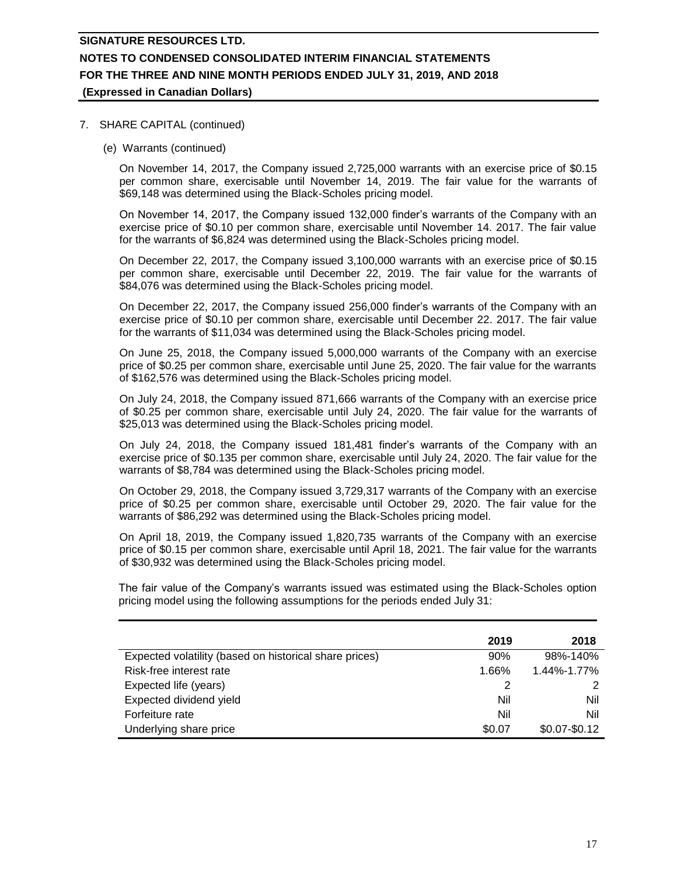#### 7. SHARE CAPITAL (continued)

(e) Warrants (continued)

On November 14, 2017, the Company issued 2,725,000 warrants with an exercise price of \$0.15 per common share, exercisable until November 14, 2019. The fair value for the warrants of \$69,148 was determined using the Black-Scholes pricing model.

On November 14, 2017, the Company issued 132,000 finder's warrants of the Company with an exercise price of \$0.10 per common share, exercisable until November 14. 2017. The fair value for the warrants of \$6,824 was determined using the Black-Scholes pricing model.

On December 22, 2017, the Company issued 3,100,000 warrants with an exercise price of \$0.15 per common share, exercisable until December 22, 2019. The fair value for the warrants of \$84,076 was determined using the Black-Scholes pricing model.

On December 22, 2017, the Company issued 256,000 finder's warrants of the Company with an exercise price of \$0.10 per common share, exercisable until December 22. 2017. The fair value for the warrants of \$11,034 was determined using the Black-Scholes pricing model.

On June 25, 2018, the Company issued 5,000,000 warrants of the Company with an exercise price of \$0.25 per common share, exercisable until June 25, 2020. The fair value for the warrants of \$162,576 was determined using the Black-Scholes pricing model.

On July 24, 2018, the Company issued 871,666 warrants of the Company with an exercise price of \$0.25 per common share, exercisable until July 24, 2020. The fair value for the warrants of \$25,013 was determined using the Black-Scholes pricing model.

On July 24, 2018, the Company issued 181,481 finder's warrants of the Company with an exercise price of \$0.135 per common share, exercisable until July 24, 2020. The fair value for the warrants of \$8,784 was determined using the Black-Scholes pricing model.

On October 29, 2018, the Company issued 3,729,317 warrants of the Company with an exercise price of \$0.25 per common share, exercisable until October 29, 2020. The fair value for the warrants of \$86,292 was determined using the Black-Scholes pricing model.

On April 18, 2019, the Company issued 1,820,735 warrants of the Company with an exercise price of \$0.15 per common share, exercisable until April 18, 2021. The fair value for the warrants of \$30,932 was determined using the Black-Scholes pricing model.

The fair value of the Company's warrants issued was estimated using the Black-Scholes option pricing model using the following assumptions for the periods ended July 31:

|                                                        | 2019   | 2018            |
|--------------------------------------------------------|--------|-----------------|
| Expected volatility (based on historical share prices) | 90%    | 98%-140%        |
| Risk-free interest rate                                | 1.66%  | 1.44%-1.77%     |
| Expected life (years)                                  |        | 2               |
| Expected dividend yield                                | Nil    | Nil             |
| Forfeiture rate                                        | Nil    | Nil             |
| Underlying share price                                 | \$0.07 | $$0.07 - $0.12$ |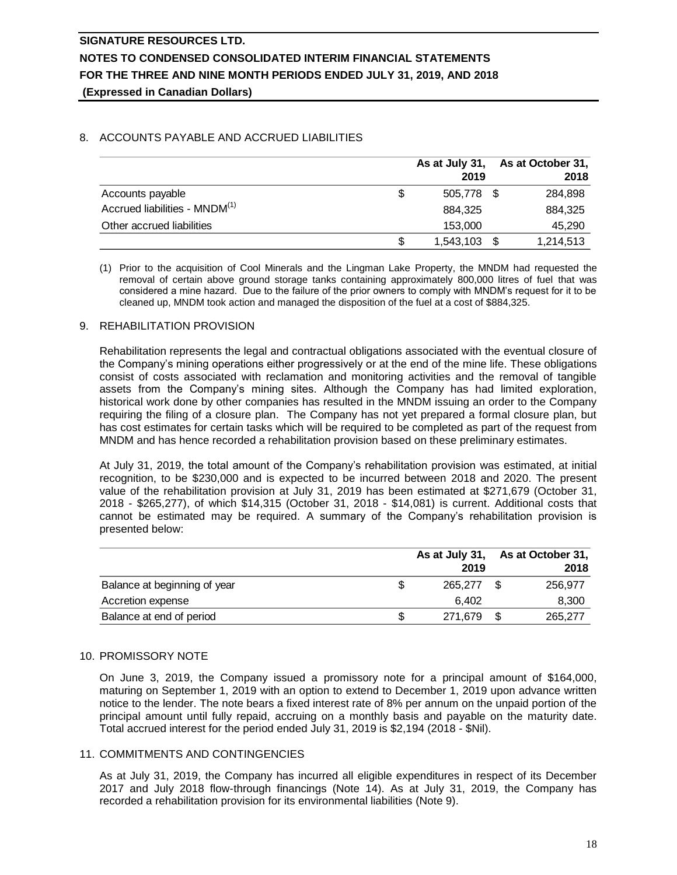### 8. ACCOUNTS PAYABLE AND ACCRUED LIABILITIES

|                                           | As at July 31,     | As at October 31, |
|-------------------------------------------|--------------------|-------------------|
|                                           | 2019               | 2018              |
| Accounts payable                          | \$<br>505.778 \$   | 284,898           |
| Accrued liabilities - MNDM <sup>(1)</sup> | 884.325            | 884.325           |
| Other accrued liabilities                 | 153,000            | 45,290            |
|                                           | \$<br>1,543,103 \$ | 1,214,513         |

(1) Prior to the acquisition of Cool Minerals and the Lingman Lake Property, the MNDM had requested the removal of certain above ground storage tanks containing approximately 800,000 litres of fuel that was considered a mine hazard. Due to the failure of the prior owners to comply with MNDM's request for it to be cleaned up, MNDM took action and managed the disposition of the fuel at a cost of \$884,325.

### 9. REHABILITATION PROVISION

Rehabilitation represents the legal and contractual obligations associated with the eventual closure of the Company's mining operations either progressively or at the end of the mine life. These obligations consist of costs associated with reclamation and monitoring activities and the removal of tangible assets from the Company's mining sites. Although the Company has had limited exploration, historical work done by other companies has resulted in the MNDM issuing an order to the Company requiring the filing of a closure plan. The Company has not yet prepared a formal closure plan, but has cost estimates for certain tasks which will be required to be completed as part of the request from MNDM and has hence recorded a rehabilitation provision based on these preliminary estimates.

At July 31, 2019, the total amount of the Company's rehabilitation provision was estimated, at initial recognition, to be \$230,000 and is expected to be incurred between 2018 and 2020. The present value of the rehabilitation provision at July 31, 2019 has been estimated at \$271,679 (October 31, 2018 - \$265,277), of which \$14,315 (October 31, 2018 - \$14,081) is current. Additional costs that cannot be estimated may be required. A summary of the Company's rehabilitation provision is presented below:

|                              |         | As at July 31, As at October 31, |
|------------------------------|---------|----------------------------------|
|                              | 2019    | 2018                             |
| Balance at beginning of year | 265,277 | 256.977                          |
| Accretion expense            | 6.402   | 8,300                            |
| Balance at end of period     | 271.679 | 265,277                          |

### 10. PROMISSORY NOTE

On June 3, 2019, the Company issued a promissory note for a principal amount of \$164,000, maturing on September 1, 2019 with an option to extend to December 1, 2019 upon advance written notice to the lender. The note bears a fixed interest rate of 8% per annum on the unpaid portion of the principal amount until fully repaid, accruing on a monthly basis and payable on the maturity date. Total accrued interest for the period ended July 31, 2019 is \$2,194 (2018 - \$Nil).

### 11. COMMITMENTS AND CONTINGENCIES

As at July 31, 2019, the Company has incurred all eligible expenditures in respect of its December 2017 and July 2018 flow-through financings (Note 14). As at July 31, 2019, the Company has recorded a rehabilitation provision for its environmental liabilities (Note 9).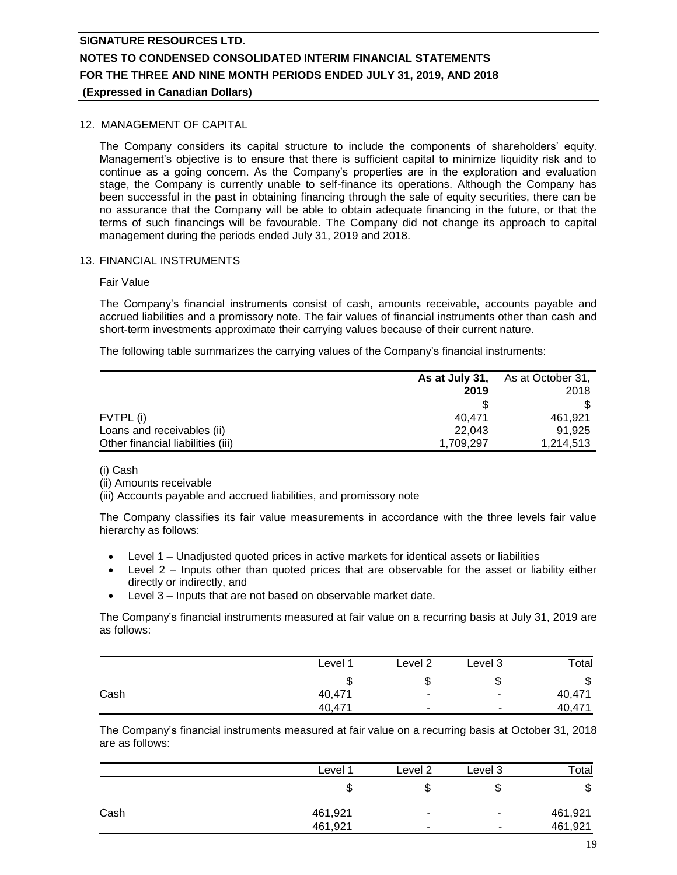### 12. MANAGEMENT OF CAPITAL

The Company considers its capital structure to include the components of shareholders' equity. Management's objective is to ensure that there is sufficient capital to minimize liquidity risk and to continue as a going concern. As the Company's properties are in the exploration and evaluation stage, the Company is currently unable to self-finance its operations. Although the Company has been successful in the past in obtaining financing through the sale of equity securities, there can be no assurance that the Company will be able to obtain adequate financing in the future, or that the terms of such financings will be favourable. The Company did not change its approach to capital management during the periods ended July 31, 2019 and 2018.

#### 13. FINANCIAL INSTRUMENTS

#### Fair Value

The Company's financial instruments consist of cash, amounts receivable, accounts payable and accrued liabilities and a promissory note. The fair values of financial instruments other than cash and short-term investments approximate their carrying values because of their current nature.

The following table summarizes the carrying values of the Company's financial instruments:

|                                   | As at July 31, | As at October 31, |
|-----------------------------------|----------------|-------------------|
|                                   | 2019           | 2018              |
|                                   |                |                   |
| FVTPL (i)                         | 40.471         | 461.921           |
| Loans and receivables (ii)        | 22.043         | 91.925            |
| Other financial liabilities (iii) | 1,709,297      | 1,214,513         |

#### (i) Cash

(ii) Amounts receivable

(iii) Accounts payable and accrued liabilities, and promissory note

The Company classifies its fair value measurements in accordance with the three levels fair value hierarchy as follows:

- Level 1 Unadjusted quoted prices in active markets for identical assets or liabilities
- Level 2 Inputs other than quoted prices that are observable for the asset or liability either directly or indirectly, and
- Level 3 Inputs that are not based on observable market date.

The Company's financial instruments measured at fair value on a recurring basis at July 31, 2019 are as follows:

|      | Level <sup>1</sup> | Level 2                  | Level 3                  | Total  |
|------|--------------------|--------------------------|--------------------------|--------|
|      | ◡                  |                          | Φ                        | ง      |
| Cash | 40,471             | $\overline{\phantom{a}}$ | $\overline{\phantom{a}}$ | 40,471 |
|      | 40,471             | $\overline{\phantom{a}}$ |                          | 40,471 |

The Company's financial instruments measured at fair value on a recurring basis at October 31, 2018 are as follows:

|      | Level <sup>1</sup> | Level 2                  | Level 3                  | Total   |
|------|--------------------|--------------------------|--------------------------|---------|
|      |                    |                          | ۰D                       | จ       |
| Cash | 461,921            |                          | ۰.                       | 461,921 |
|      | 461,921            | $\overline{\phantom{a}}$ | $\overline{\phantom{0}}$ | 461,921 |